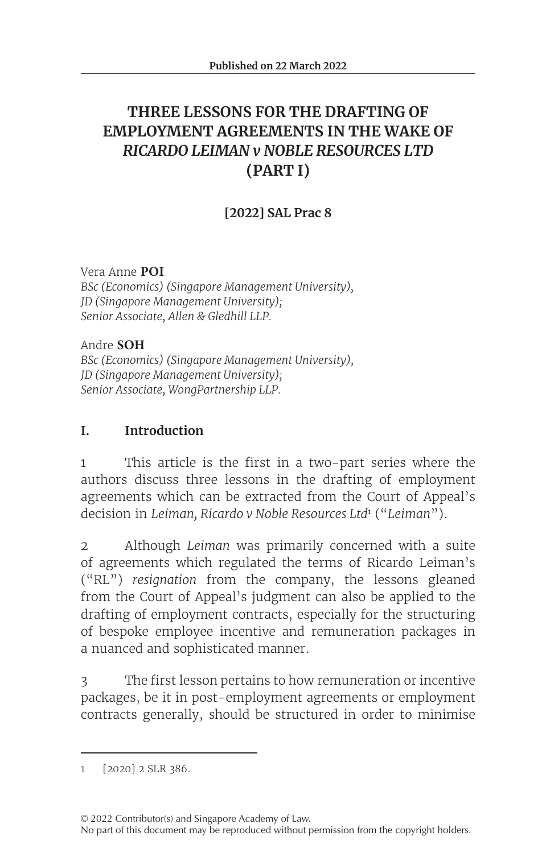# **THREE LESSONS FOR THE DRAFTING OF EMPLOYMENT AGREEMENTS IN THE WAKE OF**  *RICARDO LEIMAN v NOBLE RESOURCES LTD* **(PART I)**

# **[2022] SAL Prac 8**

Vera Anne **POI** *BSc (Economics) (Singapore Management University), JD (Singapore Management University); Senior Associate, Allen & Gledhill LLP.*

Andre **SOH** *BSc (Economics) (Singapore Management University), JD (Singapore Management University); Senior Associate, WongPartnership LLP.*

### **I. Introduction**

1 This article is the first in a two-part series where the authors discuss three lessons in the drafting of employment agreements which can be extracted from the Court of Appeal's decision in *Leiman, Ricardo v Noble Resources Ltd*<sup>1</sup> ("*Leiman*").

2 Although *Leiman* was primarily concerned with a suite of agreements which regulated the terms of Ricardo Leiman's ("RL") *resignation* from the company, the lessons gleaned from the Court of Appeal's judgment can also be applied to the drafting of employment contracts, especially for the structuring of bespoke employee incentive and remuneration packages in a nuanced and sophisticated manner.

3 The first lesson pertains to how remuneration or incentive packages, be it in post-employment agreements or employment contracts generally, should be structured in order to minimise

<sup>1 [2020]</sup> 2 SLR 386.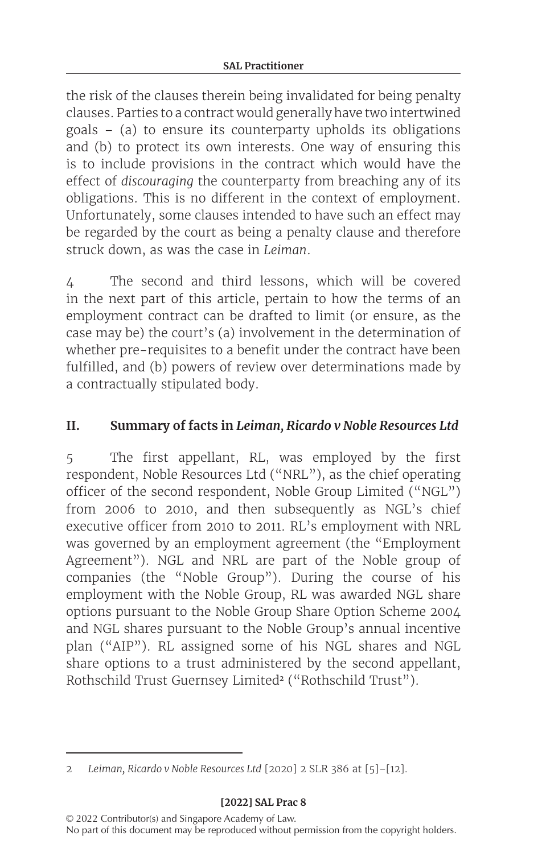the risk of the clauses therein being invalidated for being penalty clauses. Parties to a contract would generally have two intertwined goals – (a) to ensure its counterparty upholds its obligations and (b) to protect its own interests. One way of ensuring this is to include provisions in the contract which would have the effect of *discouraging* the counterparty from breaching any of its obligations. This is no different in the context of employment. Unfortunately, some clauses intended to have such an effect may be regarded by the court as being a penalty clause and therefore struck down, as was the case in *Leiman*.

4 The second and third lessons, which will be covered in the next part of this article, pertain to how the terms of an employment contract can be drafted to limit (or ensure, as the case may be) the court's (a) involvement in the determination of whether pre-requisites to a benefit under the contract have been fulfilled, and (b) powers of review over determinations made by a contractually stipulated body.

### **II. Summary of facts in** *Leiman, Ricardo v Noble Resources Ltd*

5 The first appellant, RL, was employed by the first respondent, Noble Resources Ltd ("NRL"), as the chief operating officer of the second respondent, Noble Group Limited ("NGL") from 2006 to 2010, and then subsequently as NGL's chief executive officer from 2010 to 2011. RL's employment with NRL was governed by an employment agreement (the "Employment Agreement"). NGL and NRL are part of the Noble group of companies (the "Noble Group"). During the course of his employment with the Noble Group, RL was awarded NGL share options pursuant to the Noble Group Share Option Scheme 2004 and NGL shares pursuant to the Noble Group's annual incentive plan ("AIP"). RL assigned some of his NGL shares and NGL share options to a trust administered by the second appellant, Rothschild Trust Guernsey Limited<sup>2</sup> ("Rothschild Trust").

#### **[2022] SAL Prac 8**

<sup>2</sup> *Leiman, Ricardo v Noble Resources Ltd* [2020] 2 SLR 386 at [5]–[12].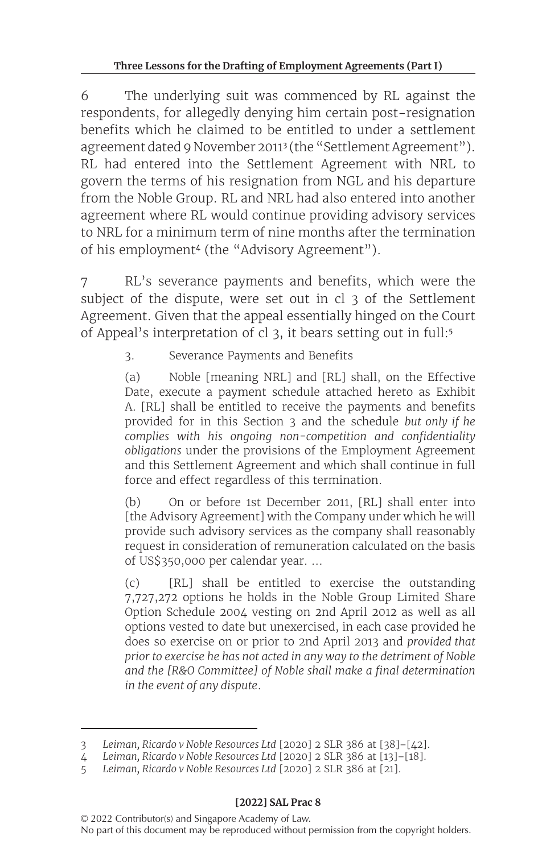6 The underlying suit was commenced by RL against the respondents, for allegedly denying him certain post-resignation benefits which he claimed to be entitled to under a settlement agreement dated 9 November 2011<sup>3</sup> (the "Settlement Agreement"). RL had entered into the Settlement Agreement with NRL to govern the terms of his resignation from NGL and his departure from the Noble Group. RL and NRL had also entered into another agreement where RL would continue providing advisory services to NRL for a minimum term of nine months after the termination of his employment<sup>4</sup> (the "Advisory Agreement").

7 RL's severance payments and benefits, which were the subject of the dispute, were set out in cl 3 of the Settlement Agreement. Given that the appeal essentially hinged on the Court of Appeal's interpretation of cl 3, it bears setting out in full:<sup>5</sup>

## 3. Severance Payments and Benefits

(a) Noble [meaning NRL] and [RL] shall, on the Effective Date, execute a payment schedule attached hereto as Exhibit A. [RL] shall be entitled to receive the payments and benefits provided for in this Section 3 and the schedule *but only if he complies with his ongoing non-competition and confidentiality obligations* under the provisions of the Employment Agreement and this Settlement Agreement and which shall continue in full force and effect regardless of this termination.

(b) On or before 1st December 2011, [RL] shall enter into [the Advisory Agreement] with the Company under which he will provide such advisory services as the company shall reasonably request in consideration of remuneration calculated on the basis of US\$350,000 per calendar year. …

(c) [RL] shall be entitled to exercise the outstanding 7,727,272 options he holds in the Noble Group Limited Share Option Schedule 2004 vesting on 2nd April 2012 as well as all options vested to date but unexercised, in each case provided he does so exercise on or prior to 2nd April 2013 and *provided that prior to exercise he has not acted in any way to the detriment of Noble and the [R&O Committee] of Noble shall make a final determination in the event of any dispute*.

<sup>3</sup> *Leiman, Ricardo v Noble Resources Ltd* [2020] 2 SLR 386 at [38]–[42].

<sup>4</sup> *Leiman, Ricardo v Noble Resources Ltd* [2020] 2 SLR 386 at [13]–[18].

<sup>5</sup> *Leiman, Ricardo v Noble Resources Ltd* [2020] 2 SLR 386 at [21].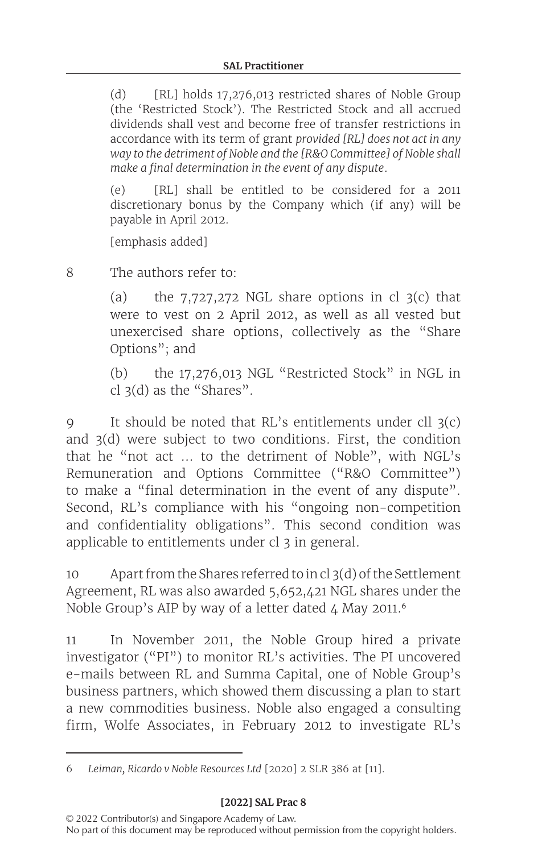(d) [RL] holds 17,276,013 restricted shares of Noble Group (the 'Restricted Stock'). The Restricted Stock and all accrued dividends shall vest and become free of transfer restrictions in accordance with its term of grant *provided [RL] does not act in any way to the detriment of Noble and the [R&O Committee] of Noble shall make a final determination in the event of any dispute*.

(e) [RL] shall be entitled to be considered for a 2011 discretionary bonus by the Company which (if any) will be payable in April 2012.

[emphasis added]

8 The authors refer to:

(a) the  $7,727,272$  NGL share options in cl  $3(c)$  that were to vest on 2 April 2012, as well as all vested but unexercised share options, collectively as the "Share Options"; and

(b) the 17,276,013 NGL "Restricted Stock" in NGL in cl 3(d) as the "Shares".

9 It should be noted that RL's entitlements under cll 3(c) and 3(d) were subject to two conditions. First, the condition that he "not act … to the detriment of Noble", with NGL's Remuneration and Options Committee ("R&O Committee") to make a "final determination in the event of any dispute". Second, RL's compliance with his "ongoing non-competition and confidentiality obligations". This second condition was applicable to entitlements under cl 3 in general.

10 Apart from the Shares referred to incl 3(d) of the Settlement Agreement, RL was also awarded 5,652,421 NGL shares under the Noble Group's AIP by way of a letter dated  $4$  May 2011.<sup>6</sup>

11 In November 2011, the Noble Group hired a private investigator ("PI") to monitor RL's activities. The PI uncovered e-mails between RL and Summa Capital, one of Noble Group's business partners, which showed them discussing a plan to start a new commodities business. Noble also engaged a consulting firm, Wolfe Associates, in February 2012 to investigate RL's

<sup>6</sup>  *Leiman, Ricardo v Noble Resources Ltd* [2020] 2 SLR 386 at [11].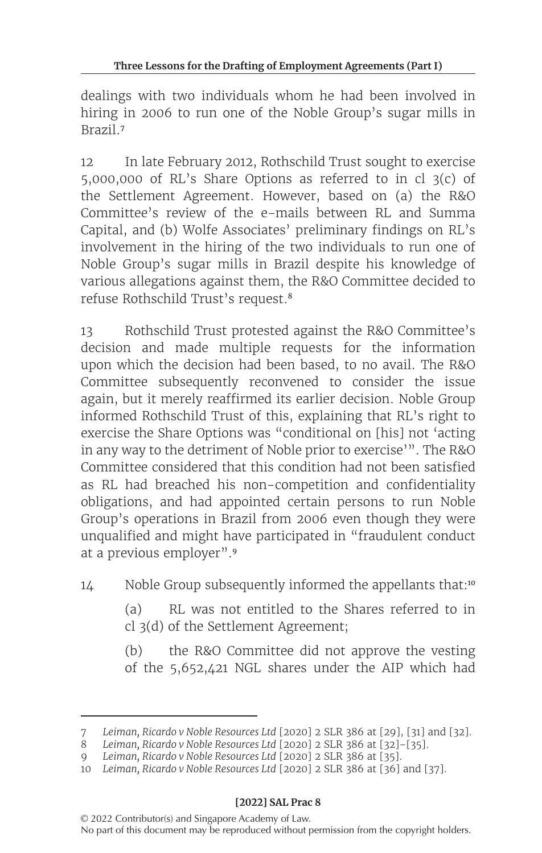dealings with two individuals whom he had been involved in hiring in 2006 to run one of the Noble Group's sugar mills in Brazil.<sup>7</sup>

12 In late February 2012, Rothschild Trust sought to exercise 5,000,000 of RL's Share Options as referred to in cl 3(c) of the Settlement Agreement. However, based on (a) the R&O Committee's review of the e-mails between RL and Summa Capital, and (b) Wolfe Associates' preliminary findings on RL's involvement in the hiring of the two individuals to run one of Noble Group's sugar mills in Brazil despite his knowledge of various allegations against them, the R&O Committee decided to refuse Rothschild Trust's request.<sup>8</sup>

13 Rothschild Trust protested against the R&O Committee's decision and made multiple requests for the information upon which the decision had been based, to no avail. The R&O Committee subsequently reconvened to consider the issue again, but it merely reaffirmed its earlier decision. Noble Group informed Rothschild Trust of this, explaining that RL's right to exercise the Share Options was "conditional on [his] not 'acting in any way to the detriment of Noble prior to exercise'". The R&O Committee considered that this condition had not been satisfied as RL had breached his non-competition and confidentiality obligations, and had appointed certain persons to run Noble Group's operations in Brazil from 2006 even though they were unqualified and might have participated in "fraudulent conduct at a previous employer".<sup>9</sup>

14 Noble Group subsequently informed the appellants that:<sup>10</sup>

(a) RL was not entitled to the Shares referred to in cl 3(d) of the Settlement Agreement;

(b) the R&O Committee did not approve the vesting of the 5,652,421 NGL shares under the AIP which had

<sup>7</sup> *Leiman, Ricardo v Noble Resources Ltd* [2020] 2 SLR 386 at [29], [31] and [32].

<sup>8</sup>  *Leiman, Ricardo v Noble Resources Ltd* [2020] 2 SLR 386 at [32]–[35].

<sup>9</sup>  *Leiman, Ricardo v Noble Resources Ltd* [2020] 2 SLR 386 at [35].

<sup>10</sup> *Leiman, Ricardo v Noble Resources Ltd* [2020] 2 SLR 386 at [36] and [37].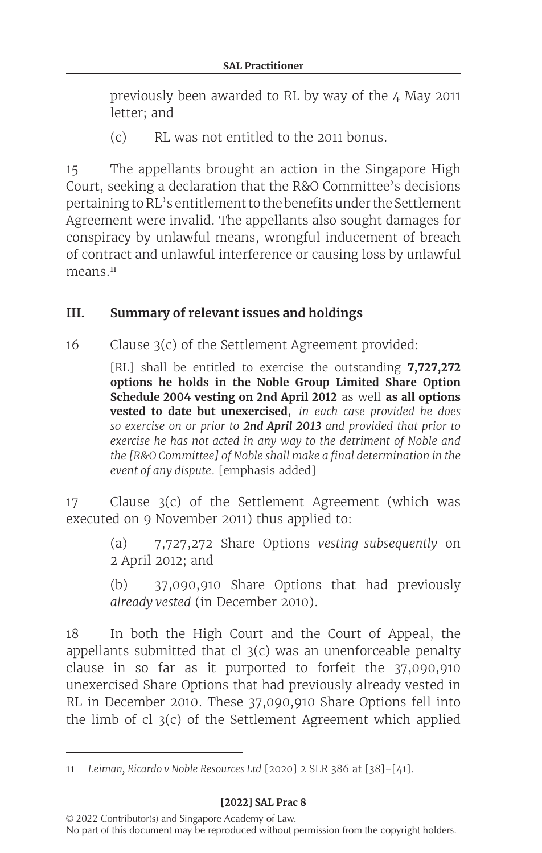previously been awarded to RL by way of the  $\mu$  May 2011 letter; and

(c) RL was not entitled to the 2011 bonus.

15 The appellants brought an action in the Singapore High Court, seeking a declaration that the R&O Committee's decisions pertaining toRL's entitlement to the benefits under the Settlement Agreement were invalid. The appellants also sought damages for conspiracy by unlawful means, wrongful inducement of breach of contract and unlawful interference or causing loss by unlawful means.<sup>11</sup>

## **III. Summary of relevant issues and holdings**

 $16$  Clause  $3(c)$  of the Settlement Agreement provided:

[RL] shall be entitled to exercise the outstanding **7,727,272 options he holds in the Noble Group Limited Share Option Schedule 2004 vesting on 2nd April 2012** as well **as all options vested to date but unexercised**, *in each case provided he does so exercise on or prior to 2nd April 2013 and provided that prior to exercise he has not acted in any way to the detriment of Noble and the [R&O Committee] of Noble shall make a final determination in the event of any dispute*. [emphasis added]

17 Clause 3(c) of the Settlement Agreement (which was executed on 9 November 2011) thus applied to:

> (a) 7,727,272 Share Options *vesting subsequently* on 2 April 2012; and

> (b) 37,090,910 Share Options that had previously *already vested* (in December 2010).

18 In both the High Court and the Court of Appeal, the appellants submitted that cl  $3(c)$  was an unenforceable penalty clause in so far as it purported to forfeit the 37,090,910 unexercised Share Options that had previously already vested in RL in December 2010. These 37,090,910 Share Options fell into the limb of cl 3(c) of the Settlement Agreement which applied

<sup>11</sup> *Leiman, Ricardo v Noble Resources Ltd* [2020] 2 SLR 386 at [38]–[41].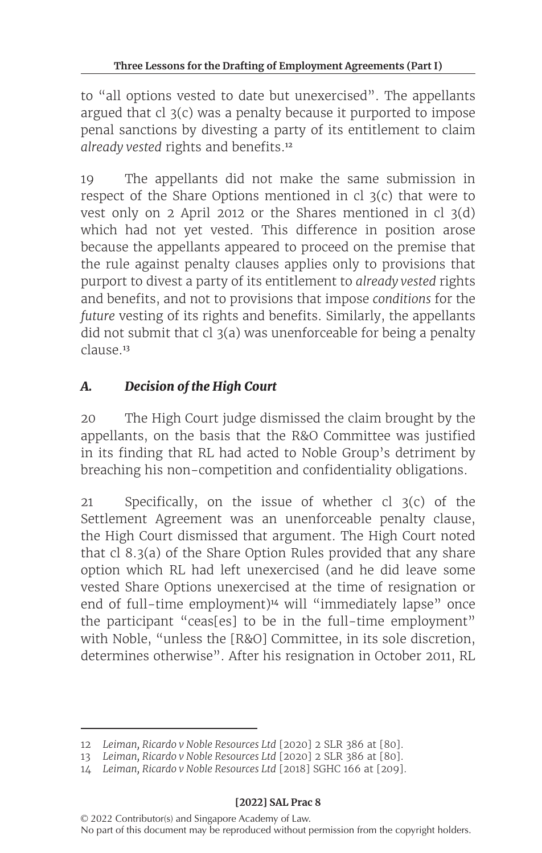to "all options vested to date but unexercised". The appellants argued that cl 3(c) was a penalty because it purported to impose penal sanctions by divesting a party of its entitlement to claim *already vested* rights and benefits.<sup>12</sup>

19 The appellants did not make the same submission in respect of the Share Options mentioned in cl  $3(c)$  that were to vest only on 2 April 2012 or the Shares mentioned in cl 3(d) which had not yet vested. This difference in position arose because the appellants appeared to proceed on the premise that the rule against penalty clauses applies only to provisions that purport to divest a party of its entitlement to *already vested* rights and benefits, and not to provisions that impose *conditions* for the *future* vesting of its rights and benefits. Similarly, the appellants did not submit that cl  $3(a)$  was unenforceable for being a penalty clause<sup>13</sup>

# *A. Decision of the High Court*

20 The High Court judge dismissed the claim brought by the appellants, on the basis that the R&O Committee was justified in its finding that RL had acted to Noble Group's detriment by breaching his non-competition and confidentiality obligations.

21 Specifically, on the issue of whether cl  $3(c)$  of the Settlement Agreement was an unenforceable penalty clause, the High Court dismissed that argument. The High Court noted that cl 8.3(a) of the Share Option Rules provided that any share option which RL had left unexercised (and he did leave some vested Share Options unexercised at the time of resignation or end of full-time employment)<sup>14</sup> will "immediately lapse" once the participant "ceas[es] to be in the full-time employment" with Noble, "unless the [R&O] Committee, in its sole discretion, determines otherwise". After his resignation in October 2011, RL

<sup>12</sup> *Leiman, Ricardo v Noble Resources Ltd* [2020] 2 SLR 386 at [80].

<sup>13</sup> *Leiman, Ricardo v Noble Resources Ltd* [2020] 2 SLR 386 at [80].

<sup>14</sup> *Leiman, Ricardo v Noble Resources Ltd* [2018] SGHC 166 at [209].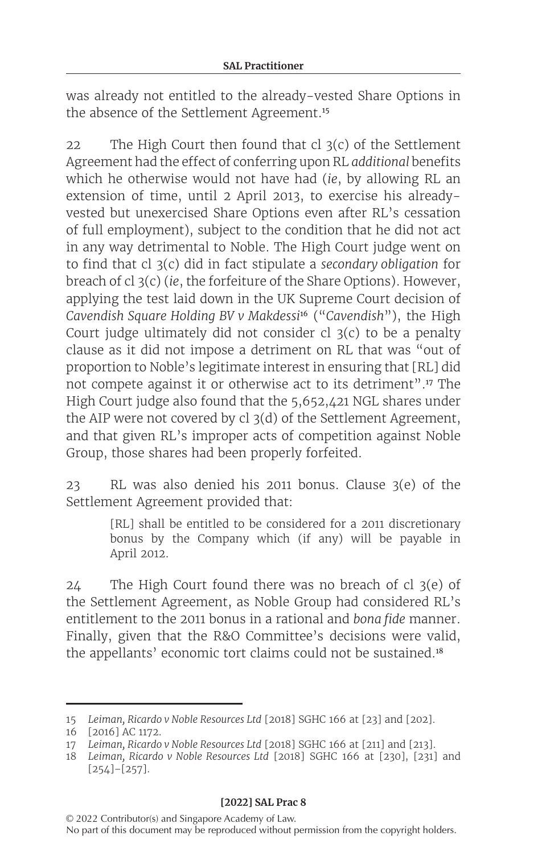was already not entitled to the already-vested Share Options in the absence of the Settlement Agreement.<sup>15</sup>

22 The High Court then found that  $cl$  3(c) of the Settlement Agreement had the effect of conferring upon RL *additional* benefits which he otherwise would not have had (*ie*, by allowing RL an extension of time, until 2 April 2013, to exercise his alreadyvested but unexercised Share Options even after RL's cessation of full employment), subject to the condition that he did not act in any way detrimental to Noble. The High Court judge went on to find that cl 3(c) did in fact stipulate a *secondary obligation* for breach of cl 3(c) (*ie*, the forfeiture of the Share Options). However, applying the test laid down in the UK Supreme Court decision of *Cavendish Square Holding BV v Makdessi*<sup>16</sup> ("*Cavendish*"), the High Court judge ultimately did not consider cl 3(c) to be a penalty clause as it did not impose a detriment on RL that was "out of proportion to Noble's legitimate interest in ensuring that [RL] did not compete against it or otherwise act to its detriment".<sup>17</sup> The High Court judge also found that the 5,652,421 NGL shares under the AIP were not covered by cl 3(d) of the Settlement Agreement, and that given RL's improper acts of competition against Noble Group, those shares had been properly forfeited.

23 RL was also denied his 2011 bonus. Clause  $3(e)$  of the Settlement Agreement provided that:

> [RL] shall be entitled to be considered for a 2011 discretionary bonus by the Company which (if any) will be payable in April 2012.

 $24$  The High Court found there was no breach of cl  $3(e)$  of the Settlement Agreement, as Noble Group had considered RL's entitlement to the 2011 bonus in a rational and *bona fide* manner. Finally, given that the R&O Committee's decisions were valid, the appellants' economic tort claims could not be sustained.<sup>18</sup>

<sup>15</sup> *Leiman, Ricardo v Noble Resources Ltd* [2018] SGHC 166 at [23] and [202].

<sup>16 [2016]</sup> AC 1172.

<sup>17</sup> *Leiman, Ricardo v Noble Resources Ltd* [2018] SGHC 166 at [211] and [213].

<sup>18</sup> *Leiman, Ricardo v Noble Resources Ltd* [2018] SGHC 166 at [230], [231] and [254]–[257].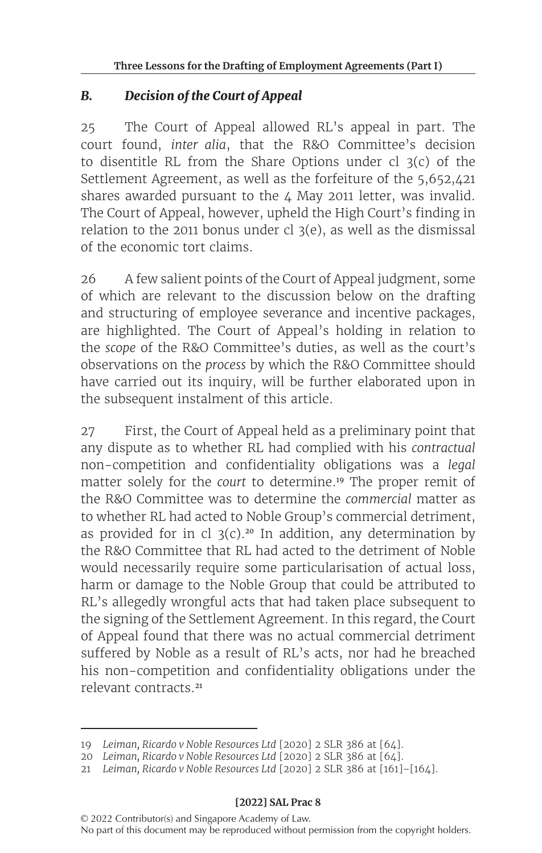## *B. Decision of the Court of Appeal*

25 The Court of Appeal allowed RL's appeal in part. The court found, *inter alia*, that the R&O Committee's decision to disentitle RL from the Share Options under cl  $3(c)$  of the Settlement Agreement, as well as the forfeiture of the 5,652,421 shares awarded pursuant to the 4 May 2011 letter, was invalid. The Court of Appeal, however, upheld the High Court's finding in relation to the 2011 bonus under cl  $3(e)$ , as well as the dismissal of the economic tort claims.

26 A few salient points of the Court of Appeal judgment, some of which are relevant to the discussion below on the drafting and structuring of employee severance and incentive packages, are highlighted. The Court of Appeal's holding in relation to the *scope* of the R&O Committee's duties, as well as the court's observations on the *process* by which the R&O Committee should have carried out its inquiry, will be further elaborated upon in the subsequent instalment of this article.

27 First, the Court of Appeal held as a preliminary point that any dispute as to whether RL had complied with his *contractual* non-competition and confidentiality obligations was a *legal* matter solely for the *court* to determine.<sup>19</sup> The proper remit of the R&O Committee was to determine the *commercial* matter as to whether RL had acted to Noble Group's commercial detriment, as provided for in cl  $3(c)$ .<sup>20</sup> In addition, any determination by the R&O Committee that RL had acted to the detriment of Noble would necessarily require some particularisation of actual loss, harm or damage to the Noble Group that could be attributed to RL's allegedly wrongful acts that had taken place subsequent to the signing of the Settlement Agreement. In this regard, the Court of Appeal found that there was no actual commercial detriment suffered by Noble as a result of RL's acts, nor had he breached his non-competition and confidentiality obligations under the relevant contracts.<sup>21</sup>

<sup>19</sup> *Leiman, Ricardo v Noble Resources Ltd* [2020] 2 SLR 386 at [64].

<sup>20</sup> *Leiman, Ricardo v Noble Resources Ltd* [2020] 2 SLR 386 at [64].

<sup>21</sup> *Leiman, Ricardo v Noble Resources Ltd* [2020] 2 SLR 386 at [161]–[164].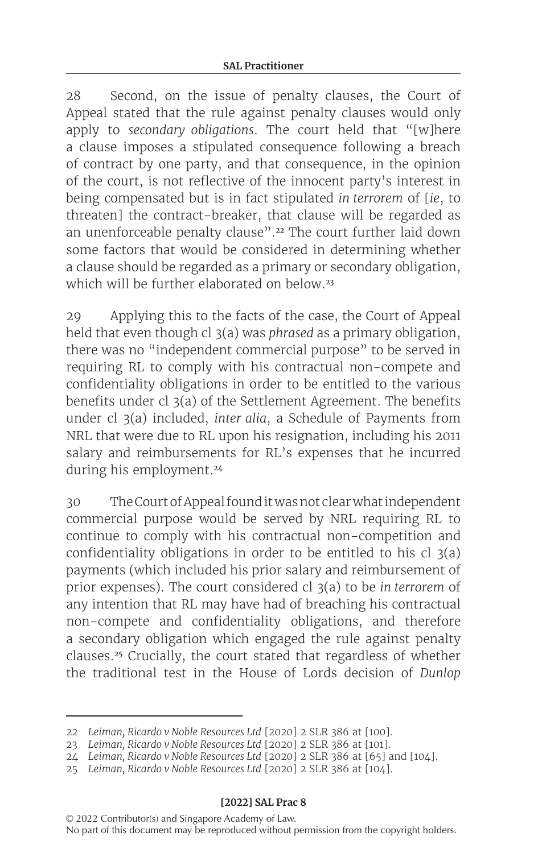28 Second, on the issue of penalty clauses, the Court of Appeal stated that the rule against penalty clauses would only apply to *secondary obligations*. The court held that "[w]here a clause imposes a stipulated consequence following a breach of contract by one party, and that consequence, in the opinion of the court, is not reflective of the innocent party's interest in being compensated but is in fact stipulated *in terrorem* of [*ie*, to threaten] the contract-breaker, that clause will be regarded as an unenforceable penalty clause".<sup>22</sup> The court further laid down some factors that would be considered in determining whether a clause should be regarded as a primary or secondary obligation, which will be further elaborated on below.<sup>23</sup>

29 Applying this to the facts of the case, the Court of Appeal held that even though cl 3(a) was *phrased* as a primary obligation, there was no "independent commercial purpose" to be served in requiring RL to comply with his contractual non-compete and confidentiality obligations in order to be entitled to the various benefits under cl 3(a) of the Settlement Agreement. The benefits under cl 3(a) included, *inter alia*, a Schedule of Payments from NRL that were due to RL upon his resignation, including his 2011 salary and reimbursements for RL's expenses that he incurred during his employment.<sup>24</sup>

30 TheCourtofAppealfounditwasnot clearwhat independent commercial purpose would be served by NRL requiring RL to continue to comply with his contractual non-competition and confidentiality obligations in order to be entitled to his cl 3(a) payments (which included his prior salary and reimbursement of prior expenses). The court considered cl 3(a) to be *in terrorem* of any intention that RL may have had of breaching his contractual non-compete and confidentiality obligations, and therefore a secondary obligation which engaged the rule against penalty clauses.<sup>25</sup> Crucially, the court stated that regardless of whether the traditional test in the House of Lords decision of *Dunlop* 

<sup>22</sup> *Leiman, Ricardo v Noble Resources Ltd* [2020] 2 SLR 386 at [100].

<sup>23</sup> *Leiman, Ricardo v Noble Resources Ltd* [2020] 2 SLR 386 at [101].

<sup>24</sup> *Leiman, Ricardo v Noble Resources Ltd* [2020] 2 SLR 386 at [65] and [104].

<sup>25</sup> *Leiman, Ricardo v Noble Resources Ltd* [2020] 2 SLR 386 at [104].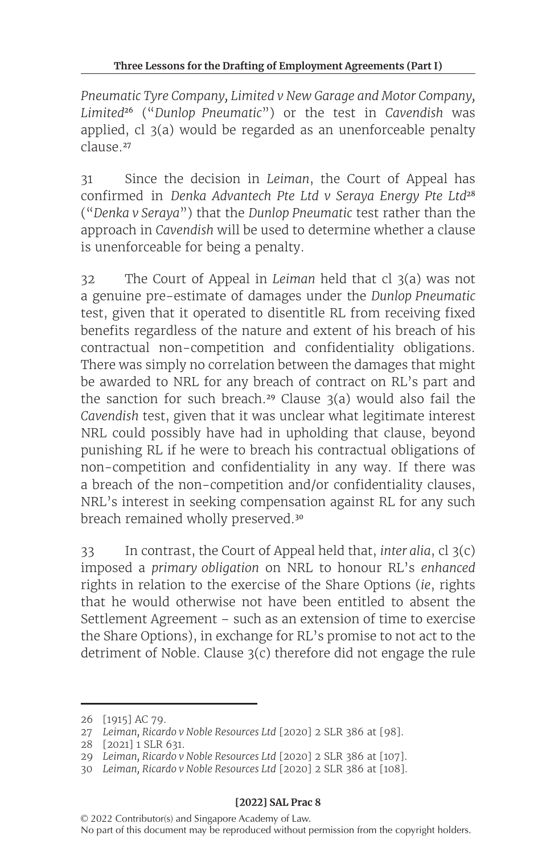*Pneumatic Tyre Company, Limited v New Garage and Motor Company, Limited*<sup>26</sup> ("*Dunlop Pneumatic*") or the test in *Cavendish* was applied, cl 3(a) would be regarded as an unenforceable penalty clause.<sup>27</sup>

31 Since the decision in *Leiman*, the Court of Appeal has confirmed in *Denka Advantech Pte Ltd v Seraya Energy Pte Ltd*<sup>28</sup> ("*Denka v Seraya*") that the *Dunlop Pneumatic* test rather than the approach in *Cavendish* will be used to determine whether a clause is unenforceable for being a penalty.

32 The Court of Appeal in *Leiman* held that cl 3(a) was not a genuine pre-estimate of damages under the *Dunlop Pneumatic* test, given that it operated to disentitle RL from receiving fixed benefits regardless of the nature and extent of his breach of his contractual non-competition and confidentiality obligations. There was simply no correlation between the damages that might be awarded to NRL for any breach of contract on RL's part and the sanction for such breach.<sup>29</sup> Clause  $3(a)$  would also fail the *Cavendish* test, given that it was unclear what legitimate interest NRL could possibly have had in upholding that clause, beyond punishing RL if he were to breach his contractual obligations of non-competition and confidentiality in any way. If there was a breach of the non-competition and/or confidentiality clauses, NRL's interest in seeking compensation against RL for any such breach remained wholly preserved.<sup>30</sup>

33 In contrast, the Court of Appeal held that, *inter alia*, cl 3(c) imposed a *primary obligation* on NRL to honour RL's *enhanced* rights in relation to the exercise of the Share Options (*ie*, rights that he would otherwise not have been entitled to absent the Settlement Agreement – such as an extension of time to exercise the Share Options), in exchange for RL's promise to not act to the detriment of Noble. Clause 3(c) therefore did not engage the rule

<sup>26 [1915]</sup> AC 79.

<sup>27</sup> *Leiman, Ricardo v Noble Resources Ltd* [2020] 2 SLR 386 at [98].

<sup>28 [2021]</sup> 1 SLR 631.

<sup>29</sup> *Leiman, Ricardo v Noble Resources Ltd* [2020] 2 SLR 386 at [107].

<sup>30</sup> *Leiman, Ricardo v Noble Resources Ltd* [2020] 2 SLR 386 at [108].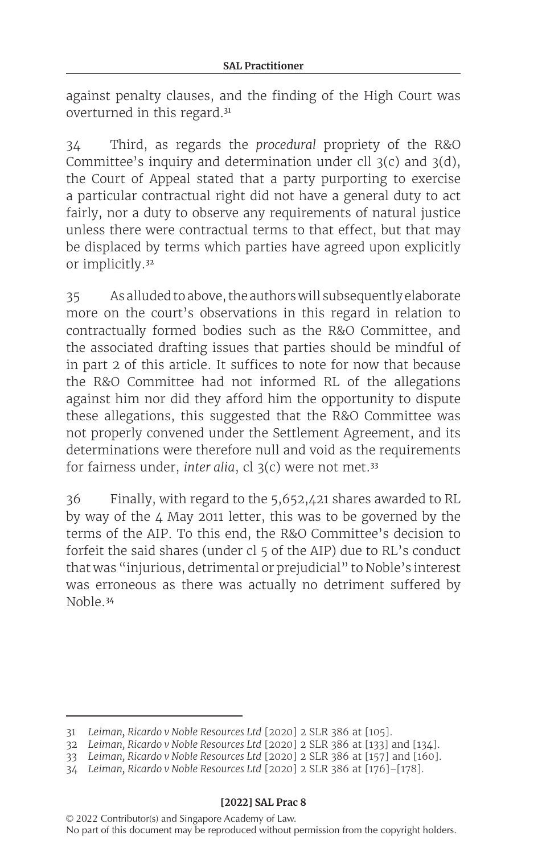against penalty clauses, and the finding of the High Court was overturned in this regard.<sup>31</sup>

34 Third, as regards the *procedural* propriety of the R&O Committee's inquiry and determination under cll 3(c) and 3(d), the Court of Appeal stated that a party purporting to exercise a particular contractual right did not have a general duty to act fairly, nor a duty to observe any requirements of natural justice unless there were contractual terms to that effect, but that may be displaced by terms which parties have agreed upon explicitly or implicitly.<sup>32</sup>

35 As alludedto above, the authors will subsequently elaborate more on the court's observations in this regard in relation to contractually formed bodies such as the R&O Committee, and the associated drafting issues that parties should be mindful of in part 2 of this article. It suffices to note for now that because the R&O Committee had not informed RL of the allegations against him nor did they afford him the opportunity to dispute these allegations, this suggested that the R&O Committee was not properly convened under the Settlement Agreement, and its determinations were therefore null and void as the requirements for fairness under, *inter alia*, cl 3(c) were not met.<sup>33</sup>

36 Finally, with regard to the 5,652,421 shares awarded to RL by way of the  $4$  May 2011 letter, this was to be governed by the terms of the AIP. To this end, the R&O Committee's decision to forfeit the said shares (under cl 5 of the AIP) due to RL's conduct that was "injurious, detrimental or prejudicial" to Noble's interest was erroneous as there was actually no detriment suffered by Noble.<sup>34</sup>

<sup>31</sup> *Leiman, Ricardo v Noble Resources Ltd* [2020] 2 SLR 386 at [105].

<sup>32</sup> *Leiman, Ricardo v Noble Resources Ltd* [2020] 2 SLR 386 at [133] and [134].

<sup>33</sup> *Leiman, Ricardo v Noble Resources Ltd* [2020] 2 SLR 386 at [157] and [160].

<sup>34</sup> *Leiman, Ricardo v Noble Resources Ltd* [2020] 2 SLR 386 at [176]–[178].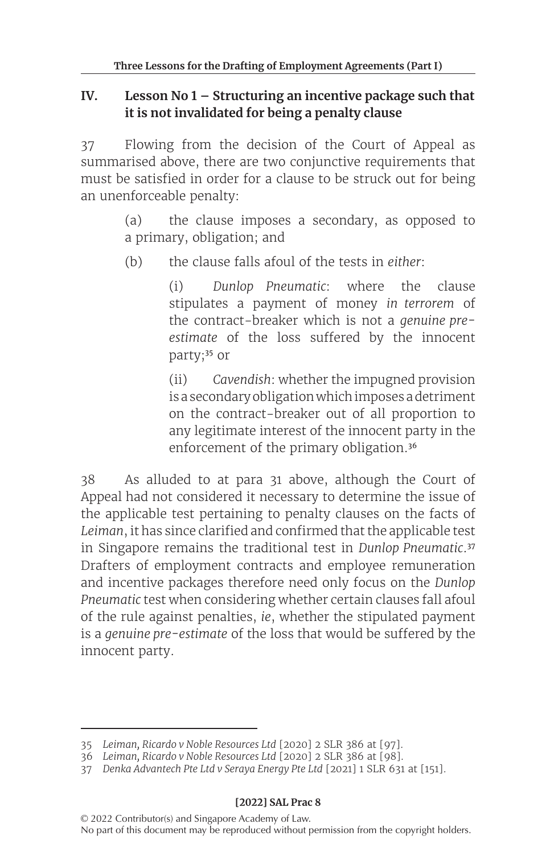### **IV. Lesson No 1 – Structuring an incentive package such that it is not invalidated for being a penalty clause**

37 Flowing from the decision of the Court of Appeal as summarised above, there are two conjunctive requirements that must be satisfied in order for a clause to be struck out for being an unenforceable penalty:

> (a) the clause imposes a secondary, as opposed to a primary, obligation; and

(b) the clause falls afoul of the tests in *either*:

(i) *Dunlop Pneumatic*: where the clause stipulates a payment of money *in terrorem* of the contract-breaker which is not a *genuine preestimate* of the loss suffered by the innocent party;<sup>35</sup> or

(ii) *Cavendish*: whether the impugned provision is a secondaryobligation whichimposes adetriment on the contract-breaker out of all proportion to any legitimate interest of the innocent party in the enforcement of the primary obligation.<sup>36</sup>

38 As alluded to at para 31 above, although the Court of Appeal had not considered it necessary to determine the issue of the applicable test pertaining to penalty clauses on the facts of *Leiman*, it has since clarified and confirmed that the applicable test in Singapore remains the traditional test in *Dunlop Pneumatic*.<sup>37</sup> Drafters of employment contracts and employee remuneration and incentive packages therefore need only focus on the *Dunlop Pneumatic* test when considering whether certain clauses fall afoul of the rule against penalties, *ie*, whether the stipulated payment is a *genuine pre-estimate* of the loss that would be suffered by the innocent party.

<sup>35</sup> *Leiman, Ricardo v Noble Resources Ltd* [2020] 2 SLR 386 at [97].

<sup>36</sup> *Leiman, Ricardo v Noble Resources Ltd* [2020] 2 SLR 386 at [98].

<sup>37</sup> *Denka Advantech Pte Ltd v Seraya Energy Pte Ltd* [2021] 1 SLR 631 at [151].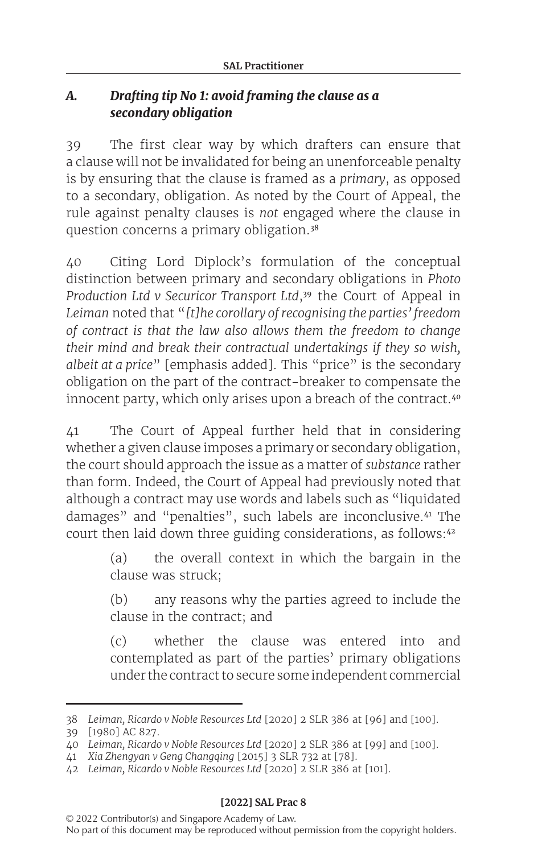## *A. Drafting tip No 1: avoid framing the clause as a secondary obligation*

39 The first clear way by which drafters can ensure that a clause will not be invalidated for being an unenforceable penalty is by ensuring that the clause is framed as a *primary*, as opposed to a secondary, obligation. As noted by the Court of Appeal, the rule against penalty clauses is *not* engaged where the clause in question concerns a primary obligation.<sup>38</sup>

40 Citing Lord Diplock's formulation of the conceptual distinction between primary and secondary obligations in *Photo Production Ltd v Securicor Transport Ltd*,<sup>39</sup> the Court of Appeal in *Leiman* noted that "*[t]he corollary of recognising the parties' freedom of contract is that the law also allows them the freedom to change their mind and break their contractual undertakings if they so wish, albeit at a price*" [emphasis added]. This "price" is the secondary obligation on the part of the contract-breaker to compensate the innocent party, which only arises upon a breach of the contract.<sup>40</sup>

41 The Court of Appeal further held that in considering whether a given clause imposes a primary or secondary obligation, the court should approach the issue as a matter of *substance* rather than form. Indeed, the Court of Appeal had previously noted that although a contract may use words and labels such as "liquidated damages" and "penalties", such labels are inconclusive.<sup>41</sup> The court then laid down three guiding considerations, as follows:<sup>42</sup>

> (a) the overall context in which the bargain in the clause was struck;

> (b) any reasons why the parties agreed to include the clause in the contract; and

> (c) whether the clause was entered into and contemplated as part of the parties' primary obligations under the contract to secure some independent commercial

#### **[2022] SAL Prac 8**

<sup>38</sup> *Leiman, Ricardo v Noble Resources Ltd* [2020] 2 SLR 386 at [96] and [100].

<sup>39 [1980]</sup> AC 827.

<sup>40</sup> *Leiman, Ricardo v Noble Resources Ltd* [2020] 2 SLR 386 at [99] and [100].

<sup>41</sup> *Xia Zhengyan v Geng Changqing* [2015] 3 SLR 732 at [78].

<sup>42</sup> *Leiman, Ricardo v Noble Resources Ltd* [2020] 2 SLR 386 at [101].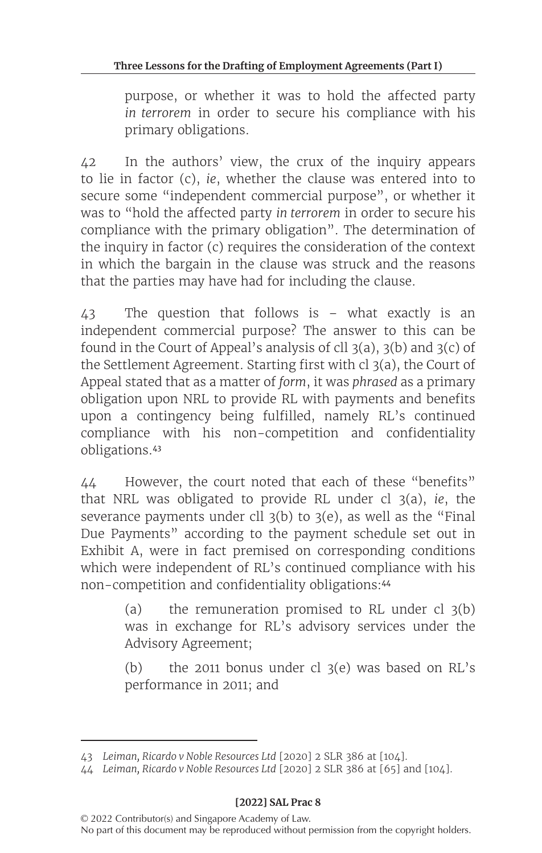purpose, or whether it was to hold the affected party *in terrorem* in order to secure his compliance with his primary obligations.

42 In the authors' view, the crux of the inquiry appears to lie in factor (c), *ie*, whether the clause was entered into to secure some "independent commercial purpose", or whether it was to "hold the affected party *in terrorem* in order to secure his compliance with the primary obligation". The determination of the inquiry in factor (c) requires the consideration of the context in which the bargain in the clause was struck and the reasons that the parties may have had for including the clause.

43 The question that follows is – what exactly is an independent commercial purpose? The answer to this can be found in the Court of Appeal's analysis of cll  $3(a)$ ,  $3(b)$  and  $3(c)$  of the Settlement Agreement. Starting first with cl 3(a), the Court of Appeal stated that as a matter of *form*, it was *phrased* as a primary obligation upon NRL to provide RL with payments and benefits upon a contingency being fulfilled, namely RL's continued compliance with his non-competition and confidentiality obligations.<sup>43</sup>

44 However, the court noted that each of these "benefits" that NRL was obligated to provide RL under cl 3(a), *ie*, the severance payments under cll 3(b) to 3(e), as well as the "Final Due Payments" according to the payment schedule set out in Exhibit A, were in fact premised on corresponding conditions which were independent of RL's continued compliance with his non-competition and confidentiality obligations:<sup>44</sup>

> (a) the remuneration promised to RL under cl  $3(b)$ was in exchange for RL's advisory services under the Advisory Agreement;

> (b) the 2011 bonus under cl  $3(e)$  was based on RL's performance in 2011; and

<sup>43</sup> *Leiman, Ricardo v Noble Resources Ltd* [2020] 2 SLR 386 at [104].

<sup>44</sup> *Leiman, Ricardo v Noble Resources Ltd* [2020] 2 SLR 386 at [65] and [104].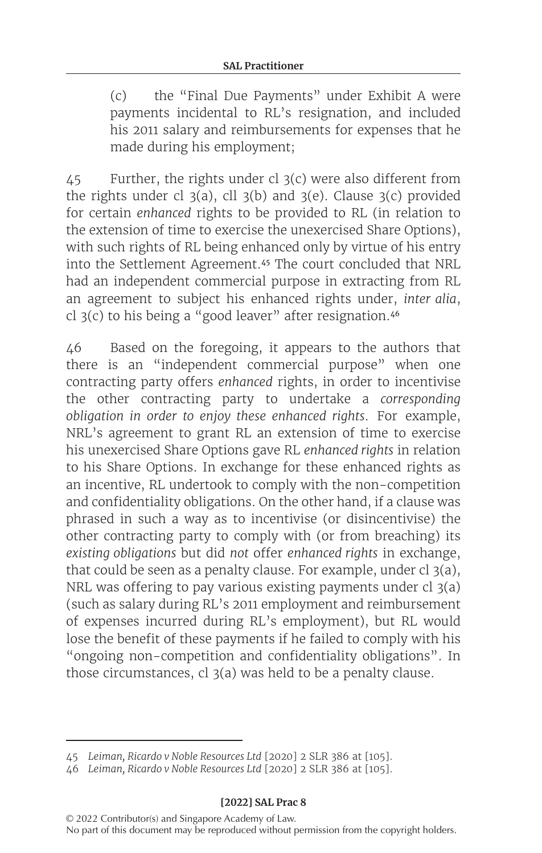(c) the "Final Due Payments" under Exhibit A were payments incidental to RL's resignation, and included his 2011 salary and reimbursements for expenses that he made during his employment;

 $45$  Further, the rights under cl 3(c) were also different from the rights under cl  $3(a)$ , cll  $3(b)$  and  $3(e)$ . Clause  $3(c)$  provided for certain *enhanced* rights to be provided to RL (in relation to the extension of time to exercise the unexercised Share Options), with such rights of RL being enhanced only by virtue of his entry into the Settlement Agreement.<sup>45</sup> The court concluded that NRL had an independent commercial purpose in extracting from RL an agreement to subject his enhanced rights under, *inter alia*, cl 3(c) to his being a "good leaver" after resignation.<sup>46</sup>

46 Based on the foregoing, it appears to the authors that there is an "independent commercial purpose" when one contracting party offers *enhanced* rights, in order to incentivise the other contracting party to undertake a *corresponding obligation in order to enjoy these enhanced rights*. For example, NRL's agreement to grant RL an extension of time to exercise his unexercised Share Options gave RL *enhanced rights* in relation to his Share Options. In exchange for these enhanced rights as an incentive, RL undertook to comply with the non-competition and confidentiality obligations. On the other hand, if a clause was phrased in such a way as to incentivise (or disincentivise) the other contracting party to comply with (or from breaching) its *existing obligations* but did *not* offer *enhanced rights* in exchange, that could be seen as a penalty clause. For example, under cl 3(a), NRL was offering to pay various existing payments under cl 3(a) (such as salary during RL's 2011 employment and reimbursement of expenses incurred during RL's employment), but RL would lose the benefit of these payments if he failed to comply with his "ongoing non-competition and confidentiality obligations". In those circumstances, cl 3(a) was held to be a penalty clause.

<sup>45</sup> *Leiman, Ricardo v Noble Resources Ltd* [2020] 2 SLR 386 at [105].

<sup>46</sup> *Leiman, Ricardo v Noble Resources Ltd* [2020] 2 SLR 386 at [105].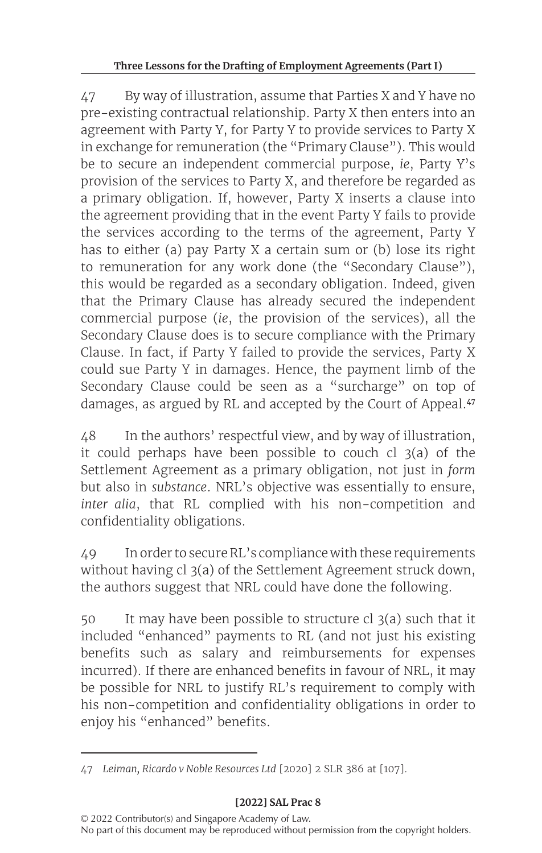47 By way of illustration, assume that Parties X and Y have no pre-existing contractual relationship. Party X then enters into an agreement with Party Y, for Party Y to provide services to Party X in exchange for remuneration (the "Primary Clause"). This would be to secure an independent commercial purpose, *ie*, Party Y's provision of the services to Party X, and therefore be regarded as a primary obligation. If, however, Party X inserts a clause into the agreement providing that in the event Party Y fails to provide the services according to the terms of the agreement, Party Y has to either (a) pay Party X a certain sum or (b) lose its right to remuneration for any work done (the "Secondary Clause"), this would be regarded as a secondary obligation. Indeed, given that the Primary Clause has already secured the independent commercial purpose (*ie*, the provision of the services), all the Secondary Clause does is to secure compliance with the Primary Clause. In fact, if Party Y failed to provide the services, Party X could sue Party Y in damages. Hence, the payment limb of the Secondary Clause could be seen as a "surcharge" on top of damages, as argued by RL and accepted by the Court of Appeal.<sup>47</sup>

48 In the authors' respectful view, and by way of illustration, it could perhaps have been possible to couch  $cl$  3(a) of the Settlement Agreement as a primary obligation, not just in *form* but also in *substance*. NRL's objective was essentially to ensure, *inter alia*, that RL complied with his non-competition and confidentiality obligations.

49 Inorder to secureRL's compliance with these requirements without having cl 3(a) of the Settlement Agreement struck down, the authors suggest that NRL could have done the following.

50 It may have been possible to structure cl 3(a) such that it included "enhanced" payments to RL (and not just his existing benefits such as salary and reimbursements for expenses incurred). If there are enhanced benefits in favour of NRL, it may be possible for NRL to justify RL's requirement to comply with his non-competition and confidentiality obligations in order to enjoy his "enhanced" benefits.

<sup>47</sup> *Leiman, Ricardo v Noble Resources Ltd* [2020] 2 SLR 386 at [107].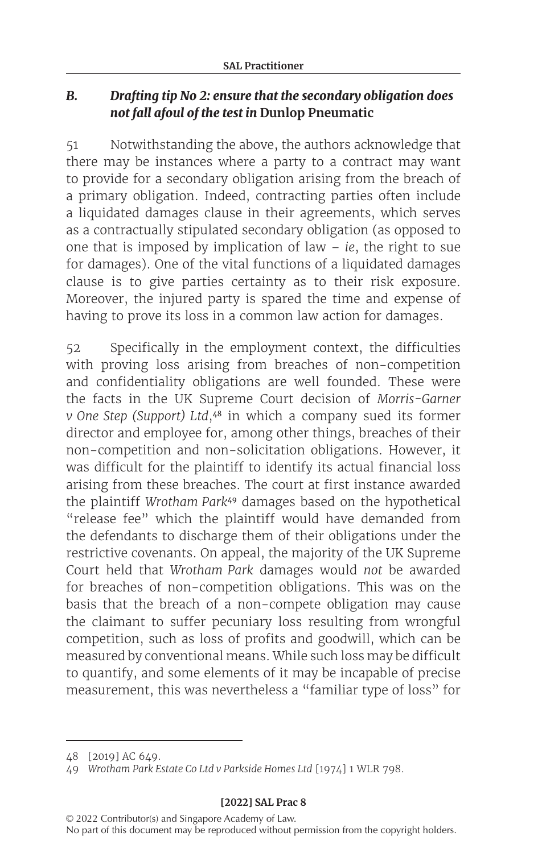### *B. Drafting tip No 2: ensure that the secondary obligation does not fall afoul of the test in* **Dunlop Pneumatic**

51 Notwithstanding the above, the authors acknowledge that there may be instances where a party to a contract may want to provide for a secondary obligation arising from the breach of a primary obligation. Indeed, contracting parties often include a liquidated damages clause in their agreements, which serves as a contractually stipulated secondary obligation (as opposed to one that is imposed by implication of law – *ie*, the right to sue for damages). One of the vital functions of a liquidated damages clause is to give parties certainty as to their risk exposure. Moreover, the injured party is spared the time and expense of having to prove its loss in a common law action for damages.

52 Specifically in the employment context, the difficulties with proving loss arising from breaches of non-competition and confidentiality obligations are well founded. These were the facts in the UK Supreme Court decision of *Morris-Garner v One Step (Support) Ltd*,<sup>48</sup> in which a company sued its former director and employee for, among other things, breaches of their non-competition and non-solicitation obligations. However, it was difficult for the plaintiff to identify its actual financial loss arising from these breaches. The court at first instance awarded the plaintiff *Wrotham Park*<sup>49</sup> damages based on the hypothetical "release fee" which the plaintiff would have demanded from the defendants to discharge them of their obligations under the restrictive covenants. On appeal, the majority of the UK Supreme Court held that *Wrotham Park* damages would *not* be awarded for breaches of non-competition obligations. This was on the basis that the breach of a non-compete obligation may cause the claimant to suffer pecuniary loss resulting from wrongful competition, such as loss of profits and goodwill, which can be measured by conventional means. While such loss may be difficult to quantify, and some elements of it may be incapable of precise measurement, this was nevertheless a "familiar type of loss" for

#### **[2022] SAL Prac 8**

<sup>48 [2019]</sup> AC 649.

<sup>49</sup> *Wrotham Park Estate Co Ltd v Parkside Homes Ltd* [1974] 1 WLR 798.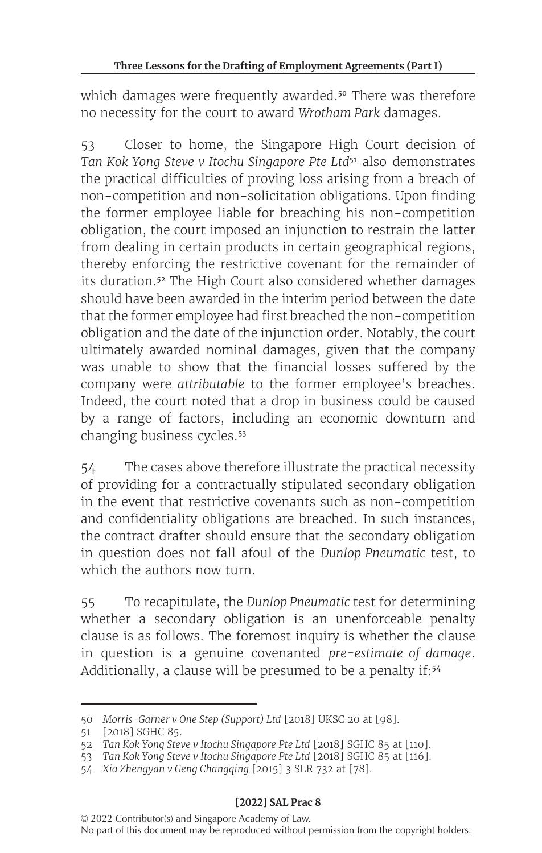which damages were frequently awarded.<sup>50</sup> There was therefore no necessity for the court to award *Wrotham Park* damages.

53 Closer to home, the Singapore High Court decision of *Tan Kok Yong Steve v Itochu Singapore Pte Ltd*<sup>51</sup> also demonstrates the practical difficulties of proving loss arising from a breach of non-competition and non-solicitation obligations. Upon finding the former employee liable for breaching his non-competition obligation, the court imposed an injunction to restrain the latter from dealing in certain products in certain geographical regions, thereby enforcing the restrictive covenant for the remainder of its duration.<sup>52</sup> The High Court also considered whether damages should have been awarded in the interim period between the date that the former employee had first breached the non-competition obligation and the date of the injunction order. Notably, the court ultimately awarded nominal damages, given that the company was unable to show that the financial losses suffered by the company were *attributable* to the former employee's breaches. Indeed, the court noted that a drop in business could be caused by a range of factors, including an economic downturn and changing business cycles.<sup>53</sup>

54 The cases above therefore illustrate the practical necessity of providing for a contractually stipulated secondary obligation in the event that restrictive covenants such as non-competition and confidentiality obligations are breached. In such instances, the contract drafter should ensure that the secondary obligation in question does not fall afoul of the *Dunlop Pneumatic* test, to which the authors now turn.

55 To recapitulate, the *Dunlop Pneumatic* test for determining whether a secondary obligation is an unenforceable penalty clause is as follows. The foremost inquiry is whether the clause in question is a genuine covenanted *pre-estimate of damage*. Additionally, a clause will be presumed to be a penalty if:<sup>54</sup>

<sup>50</sup> *Morris-Garner v One Step (Support) Ltd* [2018] UKSC 20 at [98].

<sup>51</sup> [2018] SGHC 85.

<sup>52</sup> *Tan Kok Yong Steve v Itochu Singapore Pte Ltd* [2018] SGHC 85 at [110].

<sup>53</sup> *Tan Kok Yong Steve v Itochu Singapore Pte Ltd* [2018] SGHC 85 at [116].

<sup>54</sup> *Xia Zhengyan v Geng Changqing* [2015] 3 SLR 732 at [78].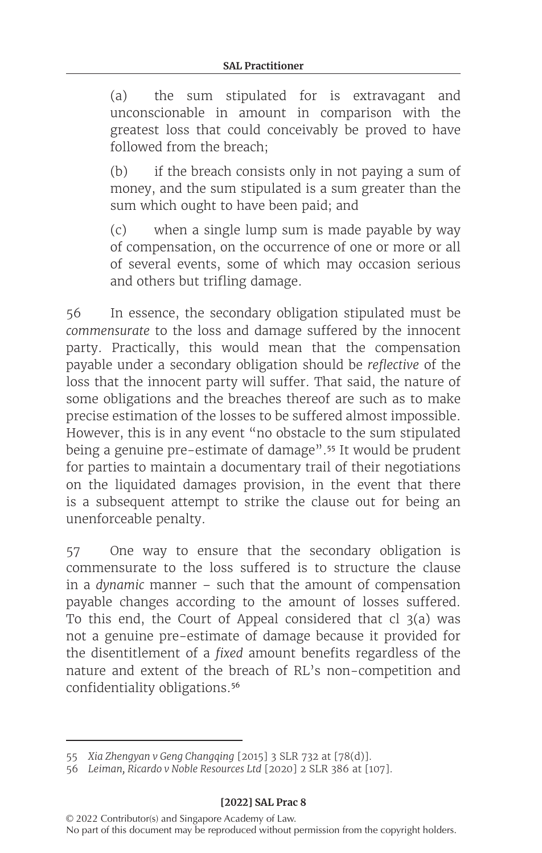(a) the sum stipulated for is extravagant and unconscionable in amount in comparison with the greatest loss that could conceivably be proved to have followed from the breach;

(b) if the breach consists only in not paying a sum of money, and the sum stipulated is a sum greater than the sum which ought to have been paid; and

(c) when a single lump sum is made payable by way of compensation, on the occurrence of one or more or all of several events, some of which may occasion serious and others but trifling damage.

56 In essence, the secondary obligation stipulated must be *commensurate* to the loss and damage suffered by the innocent party. Practically, this would mean that the compensation payable under a secondary obligation should be *reflective* of the loss that the innocent party will suffer. That said, the nature of some obligations and the breaches thereof are such as to make precise estimation of the losses to be suffered almost impossible. However, this is in any event "no obstacle to the sum stipulated being a genuine pre-estimate of damage".<sup>55</sup> It would be prudent for parties to maintain a documentary trail of their negotiations on the liquidated damages provision, in the event that there is a subsequent attempt to strike the clause out for being an unenforceable penalty.

57 One way to ensure that the secondary obligation is commensurate to the loss suffered is to structure the clause in a *dynamic* manner – such that the amount of compensation payable changes according to the amount of losses suffered. To this end, the Court of Appeal considered that cl 3(a) was not a genuine pre-estimate of damage because it provided for the disentitlement of a *fixed* amount benefits regardless of the nature and extent of the breach of RL's non-competition and confidentiality obligations.<sup>56</sup>

<sup>55</sup> *Xia Zhengyan v Geng Changqing* [2015] 3 SLR 732 at [78(d)].

<sup>56</sup> *Leiman, Ricardo v Noble Resources Ltd* [2020] 2 SLR 386 at [107].